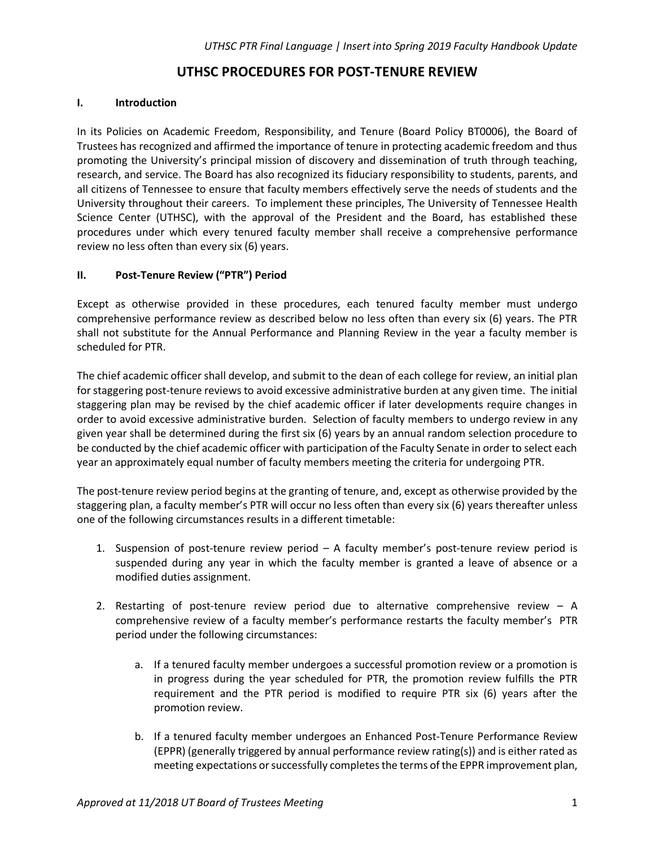# **UTHSC PROCEDURES FOR POST-TENURE REVIEW**

### **I. Introduction**

In its Policies on Academic Freedom, Responsibility, and Tenure (Board Policy BT0006), the Board of Trustees has recognized and affirmed the importance of tenure in protecting academic freedom and thus promoting the University's principal mission of discovery and dissemination of truth through teaching, research, and service. The Board has also recognized its fiduciary responsibility to students, parents, and all citizens of Tennessee to ensure that faculty members effectively serve the needs of students and the University throughout their careers. To implement these principles, The University of Tennessee Health Science Center (UTHSC), with the approval of the President and the Board, has established these procedures under which every tenured faculty member shall receive a comprehensive performance review no less often than every six (6) years.

#### **II. Post-Tenure Review ("PTR") Period**

Except as otherwise provided in these procedures, each tenured faculty member must undergo comprehensive performance review as described below no less often than every six (6) years. The PTR shall not substitute for the Annual Performance and Planning Review in the year a faculty member is scheduled for PTR.

The chief academic officer shall develop, and submit to the dean of each college for review, an initial plan for staggering post-tenure reviews to avoid excessive administrative burden at any given time. The initial staggering plan may be revised by the chief academic officer if later developments require changes in order to avoid excessive administrative burden. Selection of faculty members to undergo review in any given year shall be determined during the first six (6) years by an annual random selection procedure to be conducted by the chief academic officer with participation of the Faculty Senate in order to select each year an approximately equal number of faculty members meeting the criteria for undergoing PTR.

The post-tenure review period begins at the granting of tenure, and, except as otherwise provided by the staggering plan, a faculty member's PTR will occur no less often than every six (6) years thereafter unless one of the following circumstances results in a different timetable:

- 1. Suspension of post-tenure review period A faculty member's post-tenure review period is suspended during any year in which the faculty member is granted a leave of absence or a modified duties assignment.
- 2. Restarting of post-tenure review period due to alternative comprehensive review A comprehensive review of a faculty member's performance restarts the faculty member's PTR period under the following circumstances:
	- a. If a tenured faculty member undergoes a successful promotion review or a promotion is in progress during the year scheduled for PTR, the promotion review fulfills the PTR requirement and the PTR period is modified to require PTR six (6) years after the promotion review.
	- b. If a tenured faculty member undergoes an Enhanced Post-Tenure Performance Review (EPPR) (generally triggered by annual performance review rating(s)) and is either rated as meeting expectations or successfully completes the terms of the EPPR improvement plan,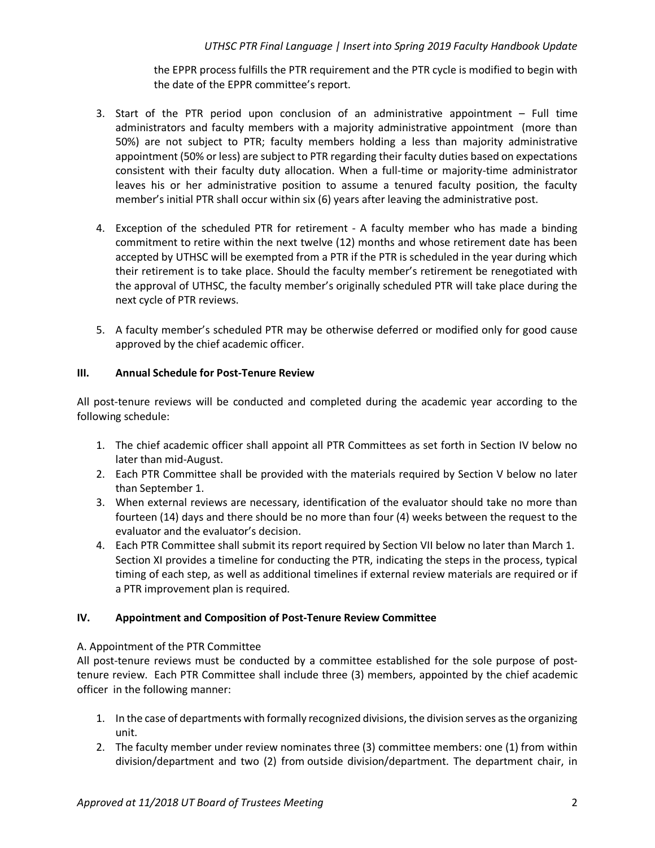the EPPR process fulfills the PTR requirement and the PTR cycle is modified to begin with the date of the EPPR committee's report.

- 3. Start of the PTR period upon conclusion of an administrative appointment Full time administrators and faculty members with a majority administrative appointment (more than 50%) are not subject to PTR; faculty members holding a less than majority administrative appointment (50% or less) are subject to PTR regarding their faculty duties based on expectations consistent with their faculty duty allocation. When a full-time or majority-time administrator leaves his or her administrative position to assume a tenured faculty position, the faculty member's initial PTR shall occur within six (6) years after leaving the administrative post.
- 4. Exception of the scheduled PTR for retirement A faculty member who has made a binding commitment to retire within the next twelve (12) months and whose retirement date has been accepted by UTHSC will be exempted from a PTR if the PTR is scheduled in the year during which their retirement is to take place. Should the faculty member's retirement be renegotiated with the approval of UTHSC, the faculty member's originally scheduled PTR will take place during the next cycle of PTR reviews.
- 5. A faculty member's scheduled PTR may be otherwise deferred or modified only for good cause approved by the chief academic officer.

## **III. Annual Schedule for Post-Tenure Review**

All post-tenure reviews will be conducted and completed during the academic year according to the following schedule:

- 1. The chief academic officer shall appoint all PTR Committees as set forth in Section IV below no later than mid-August.
- 2. Each PTR Committee shall be provided with the materials required by Section V below no later than September 1.
- 3. When external reviews are necessary, identification of the evaluator should take no more than fourteen (14) days and there should be no more than four (4) weeks between the request to the evaluator and the evaluator's decision.
- 4. Each PTR Committee shall submit its report required by Section VII below no later than March 1. Section XI provides a timeline for conducting the PTR, indicating the steps in the process, typical timing of each step, as well as additional timelines if external review materials are required or if a PTR improvement plan is required.

## **IV. Appointment and Composition of Post-Tenure Review Committee**

A. Appointment of the PTR Committee

All post-tenure reviews must be conducted by a committee established for the sole purpose of posttenure review. Each PTR Committee shall include three (3) members, appointed by the chief academic officer in the following manner:

- 1. In the case of departments with formally recognized divisions, the division serves as the organizing unit.
- 2. The faculty member under review nominates three (3) committee members: one (1) from within division/department and two (2) from outside division/department. The department chair, in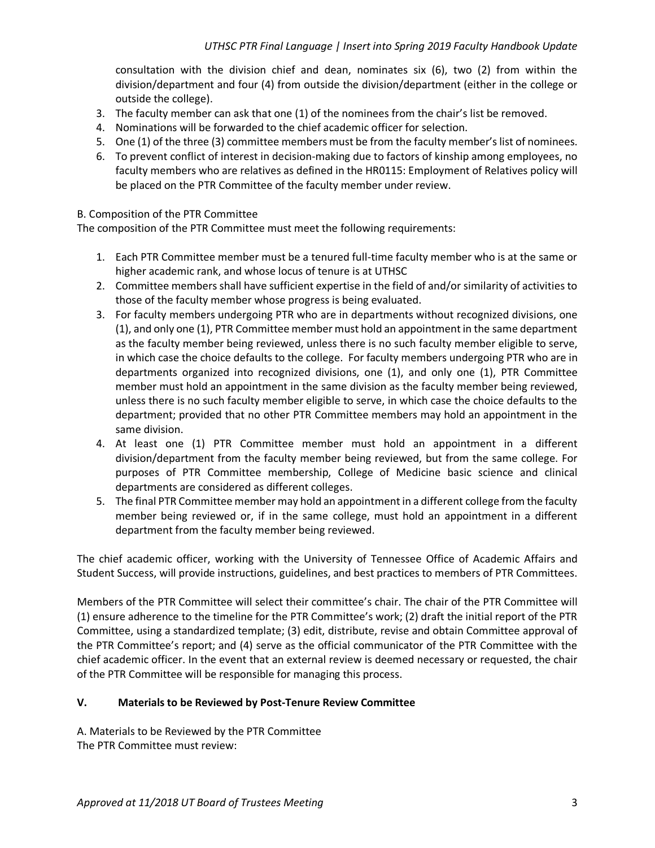consultation with the division chief and dean, nominates six (6), two (2) from within the division/department and four (4) from outside the division/department (either in the college or outside the college).

- 3. The faculty member can ask that one (1) of the nominees from the chair's list be removed.
- 4. Nominations will be forwarded to the chief academic officer for selection.
- 5. One (1) of the three (3) committee members must be from the faculty member's list of nominees.
- 6. To prevent conflict of interest in decision-making due to factors of kinship among employees, no faculty members who are relatives as defined in the HR0115: Employment of Relatives policy will be placed on the PTR Committee of the faculty member under review.

#### B. Composition of the PTR Committee

The composition of the PTR Committee must meet the following requirements:

- 1. Each PTR Committee member must be a tenured full-time faculty member who is at the same or higher academic rank, and whose locus of tenure is at UTHSC
- 2. Committee members shall have sufficient expertise in the field of and/or similarity of activities to those of the faculty member whose progress is being evaluated.
- 3. For faculty members undergoing PTR who are in departments without recognized divisions, one (1), and only one (1), PTR Committee member must hold an appointment in the same department as the faculty member being reviewed, unless there is no such faculty member eligible to serve, in which case the choice defaults to the college. For faculty members undergoing PTR who are in departments organized into recognized divisions, one (1), and only one (1), PTR Committee member must hold an appointment in the same division as the faculty member being reviewed, unless there is no such faculty member eligible to serve, in which case the choice defaults to the department; provided that no other PTR Committee members may hold an appointment in the same division.
- 4. At least one (1) PTR Committee member must hold an appointment in a different division/department from the faculty member being reviewed, but from the same college. For purposes of PTR Committee membership, College of Medicine basic science and clinical departments are considered as different colleges.
- 5. The final PTR Committee member may hold an appointment in a different college from the faculty member being reviewed or, if in the same college, must hold an appointment in a different department from the faculty member being reviewed.

The chief academic officer, working with the University of Tennessee Office of Academic Affairs and Student Success, will provide instructions, guidelines, and best practices to members of PTR Committees.

Members of the PTR Committee will select their committee's chair. The chair of the PTR Committee will (1) ensure adherence to the timeline for the PTR Committee's work; (2) draft the initial report of the PTR Committee, using a standardized template; (3) edit, distribute, revise and obtain Committee approval of the PTR Committee's report; and (4) serve as the official communicator of the PTR Committee with the chief academic officer. In the event that an external review is deemed necessary or requested, the chair of the PTR Committee will be responsible for managing this process.

#### **V. Materials to be Reviewed by Post-Tenure Review Committee**

A. Materials to be Reviewed by the PTR Committee The PTR Committee must review: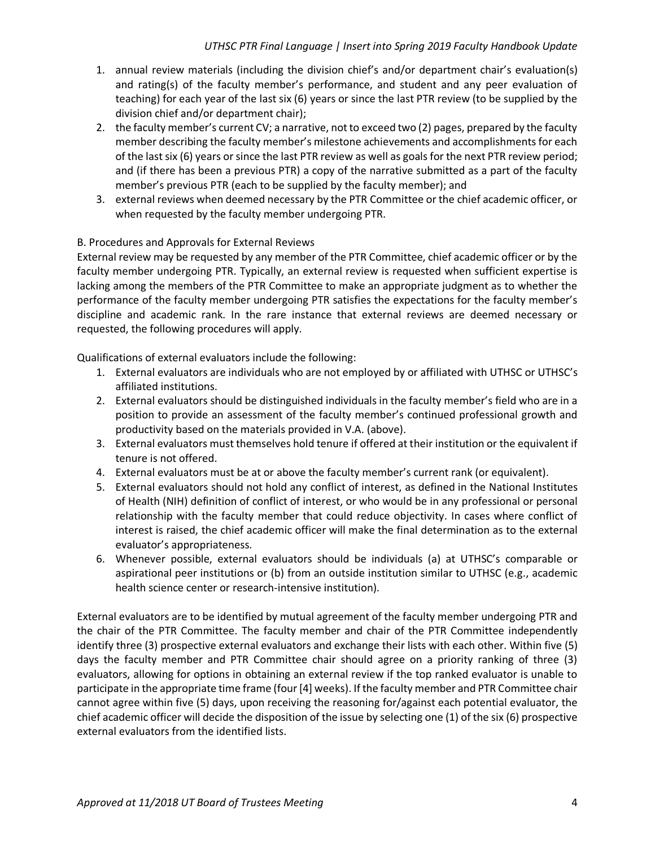- 1. annual review materials (including the division chief's and/or department chair's evaluation(s) and rating(s) of the faculty member's performance, and student and any peer evaluation of teaching) for each year of the last six (6) years or since the last PTR review (to be supplied by the division chief and/or department chair);
- 2. the faculty member's current CV; a narrative, not to exceed two (2) pages, prepared by the faculty member describing the faculty member's milestone achievements and accomplishments for each of the last six (6) years or since the last PTR review as well as goals for the next PTR review period; and (if there has been a previous PTR) a copy of the narrative submitted as a part of the faculty member's previous PTR (each to be supplied by the faculty member); and
- 3. external reviews when deemed necessary by the PTR Committee or the chief academic officer, or when requested by the faculty member undergoing PTR.

## B. Procedures and Approvals for External Reviews

External review may be requested by any member of the PTR Committee, chief academic officer or by the faculty member undergoing PTR. Typically, an external review is requested when sufficient expertise is lacking among the members of the PTR Committee to make an appropriate judgment as to whether the performance of the faculty member undergoing PTR satisfies the expectations for the faculty member's discipline and academic rank. In the rare instance that external reviews are deemed necessary or requested, the following procedures will apply.

Qualifications of external evaluators include the following:

- 1. External evaluators are individuals who are not employed by or affiliated with UTHSC or UTHSC's affiliated institutions.
- 2. External evaluators should be distinguished individuals in the faculty member's field who are in a position to provide an assessment of the faculty member's continued professional growth and productivity based on the materials provided in V.A. (above).
- 3. External evaluators must themselves hold tenure if offered at their institution or the equivalent if tenure is not offered.
- 4. External evaluators must be at or above the faculty member's current rank (or equivalent).
- 5. External evaluators should not hold any conflict of interest, as defined in the National Institutes of Health (NIH) definition of conflict of interest, or who would be in any professional or personal relationship with the faculty member that could reduce objectivity. In cases where conflict of interest is raised, the chief academic officer will make the final determination as to the external evaluator's appropriateness.
- 6. Whenever possible, external evaluators should be individuals (a) at UTHSC's comparable or aspirational peer institutions or (b) from an outside institution similar to UTHSC (e.g., academic health science center or research-intensive institution).

External evaluators are to be identified by mutual agreement of the faculty member undergoing PTR and the chair of the PTR Committee. The faculty member and chair of the PTR Committee independently identify three (3) prospective external evaluators and exchange their lists with each other. Within five (5) days the faculty member and PTR Committee chair should agree on a priority ranking of three (3) evaluators, allowing for options in obtaining an external review if the top ranked evaluator is unable to participate in the appropriate time frame (four [4] weeks). If the faculty member and PTR Committee chair cannot agree within five (5) days, upon receiving the reasoning for/against each potential evaluator, the chief academic officer will decide the disposition of the issue by selecting one (1) of the six (6) prospective external evaluators from the identified lists.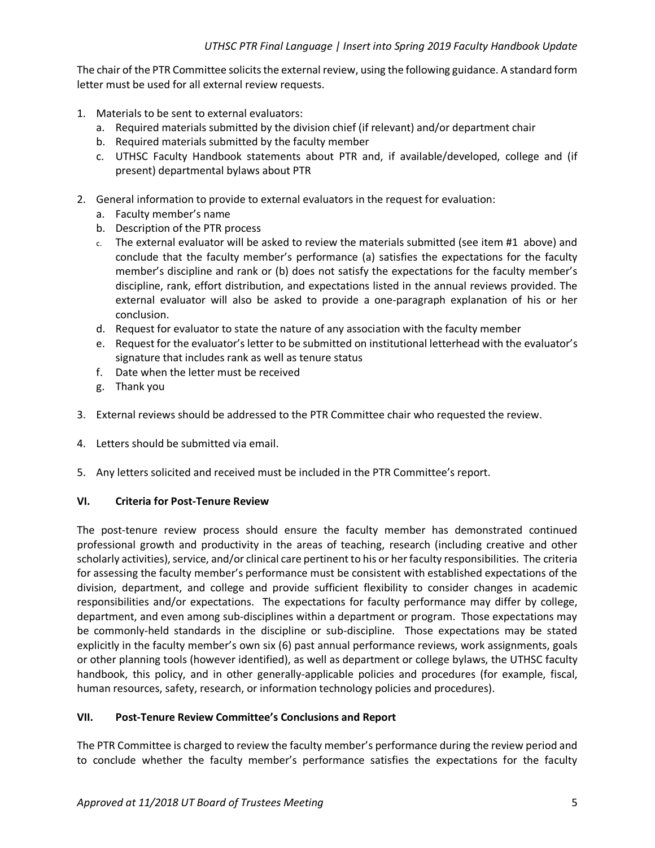The chair of the PTR Committee solicits the external review, using the following guidance. A standard form letter must be used for all external review requests.

- 1. Materials to be sent to external evaluators:
	- a. Required materials submitted by the division chief (if relevant) and/or department chair
	- b. Required materials submitted by the faculty member
	- c. UTHSC Faculty Handbook statements about PTR and, if available/developed, college and (if present) departmental bylaws about PTR
- 2. General information to provide to external evaluators in the request for evaluation:
	- a. Faculty member's name
	- b. Description of the PTR process
	- c. The external evaluator will be asked to review the materials submitted (see item #1 above) and conclude that the faculty member's performance (a) satisfies the expectations for the faculty member's discipline and rank or (b) does not satisfy the expectations for the faculty member's discipline, rank, effort distribution, and expectations listed in the annual reviews provided. The external evaluator will also be asked to provide a one-paragraph explanation of his or her conclusion.
	- d. Request for evaluator to state the nature of any association with the faculty member
	- e. Request for the evaluator's letter to be submitted on institutional letterhead with the evaluator's signature that includes rank as well as tenure status
	- f. Date when the letter must be received
	- g. Thank you
- 3. External reviews should be addressed to the PTR Committee chair who requested the review.
- 4. Letters should be submitted via email.
- 5. Any letters solicited and received must be included in the PTR Committee's report.

#### **VI. Criteria for Post-Tenure Review**

The post-tenure review process should ensure the faculty member has demonstrated continued professional growth and productivity in the areas of teaching, research (including creative and other scholarly activities), service, and/or clinical care pertinent to his or her faculty responsibilities. The criteria for assessing the faculty member's performance must be consistent with established expectations of the division, department, and college and provide sufficient flexibility to consider changes in academic responsibilities and/or expectations. The expectations for faculty performance may differ by college, department, and even among sub-disciplines within a department or program. Those expectations may be commonly-held standards in the discipline or sub-discipline. Those expectations may be stated explicitly in the faculty member's own six (6) past annual performance reviews, work assignments, goals or other planning tools (however identified), as well as department or college bylaws, the UTHSC faculty handbook, this policy, and in other generally-applicable policies and procedures (for example, fiscal, human resources, safety, research, or information technology policies and procedures).

#### **VII. Post-Tenure Review Committee's Conclusions and Report**

The PTR Committee is charged to review the faculty member's performance during the review period and to conclude whether the faculty member's performance satisfies the expectations for the faculty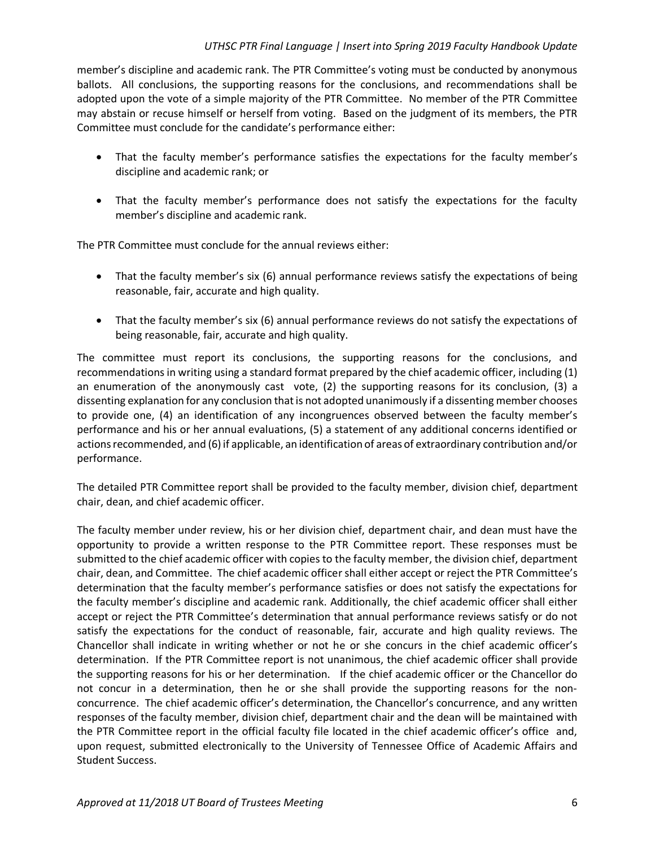#### *UTHSC PTR Final Language | Insert into Spring 2019 Faculty Handbook Update*

member's discipline and academic rank. The PTR Committee's voting must be conducted by anonymous ballots. All conclusions, the supporting reasons for the conclusions, and recommendations shall be adopted upon the vote of a simple majority of the PTR Committee. No member of the PTR Committee may abstain or recuse himself or herself from voting. Based on the judgment of its members, the PTR Committee must conclude for the candidate's performance either:

- That the faculty member's performance satisfies the expectations for the faculty member's discipline and academic rank; or
- That the faculty member's performance does not satisfy the expectations for the faculty member's discipline and academic rank.

The PTR Committee must conclude for the annual reviews either:

- That the faculty member's six (6) annual performance reviews satisfy the expectations of being reasonable, fair, accurate and high quality.
- That the faculty member's six (6) annual performance reviews do not satisfy the expectations of being reasonable, fair, accurate and high quality.

The committee must report its conclusions, the supporting reasons for the conclusions, and recommendations in writing using a standard format prepared by the chief academic officer, including (1) an enumeration of the anonymously cast vote, (2) the supporting reasons for its conclusion, (3) a dissenting explanation for any conclusion that is not adopted unanimously if a dissenting member chooses to provide one, (4) an identification of any incongruences observed between the faculty member's performance and his or her annual evaluations, (5) a statement of any additional concerns identified or actions recommended, and (6) if applicable, an identification of areas of extraordinary contribution and/or performance.

The detailed PTR Committee report shall be provided to the faculty member, division chief, department chair, dean, and chief academic officer.

The faculty member under review, his or her division chief, department chair, and dean must have the opportunity to provide a written response to the PTR Committee report. These responses must be submitted to the chief academic officer with copies to the faculty member, the division chief, department chair, dean, and Committee. The chief academic officer shall either accept or reject the PTR Committee's determination that the faculty member's performance satisfies or does not satisfy the expectations for the faculty member's discipline and academic rank. Additionally, the chief academic officer shall either accept or reject the PTR Committee's determination that annual performance reviews satisfy or do not satisfy the expectations for the conduct of reasonable, fair, accurate and high quality reviews. The Chancellor shall indicate in writing whether or not he or she concurs in the chief academic officer's determination. If the PTR Committee report is not unanimous, the chief academic officer shall provide the supporting reasons for his or her determination. If the chief academic officer or the Chancellor do not concur in a determination, then he or she shall provide the supporting reasons for the nonconcurrence. The chief academic officer's determination, the Chancellor's concurrence, and any written responses of the faculty member, division chief, department chair and the dean will be maintained with the PTR Committee report in the official faculty file located in the chief academic officer's office and, upon request, submitted electronically to the University of Tennessee Office of Academic Affairs and Student Success.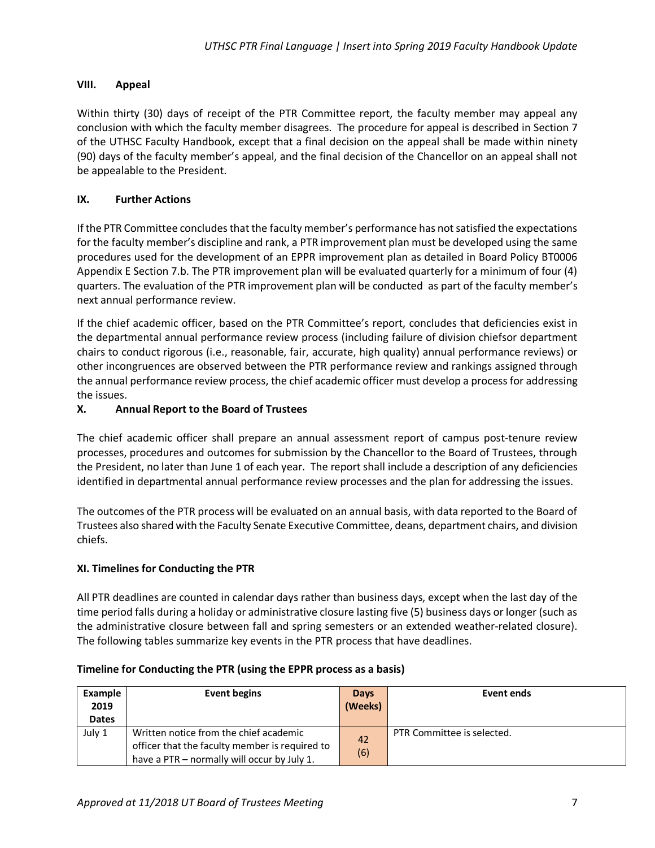## **VIII. Appeal**

Within thirty (30) days of receipt of the PTR Committee report, the faculty member may appeal any conclusion with which the faculty member disagrees. The procedure for appeal is described in Section 7 of the UTHSC Faculty Handbook, except that a final decision on the appeal shall be made within ninety (90) days of the faculty member's appeal, and the final decision of the Chancellor on an appeal shall not be appealable to the President.

## **IX. Further Actions**

If the PTR Committee concludes that the faculty member's performance has notsatisfied the expectations for the faculty member's discipline and rank, a PTR improvement plan must be developed using the same procedures used for the development of an EPPR improvement plan as detailed in Board Policy BT0006 Appendix E Section 7.b. The PTR improvement plan will be evaluated quarterly for a minimum of four (4) quarters. The evaluation of the PTR improvement plan will be conducted as part of the faculty member's next annual performance review.

If the chief academic officer, based on the PTR Committee's report, concludes that deficiencies exist in the departmental annual performance review process (including failure of division chiefsor department chairs to conduct rigorous (i.e., reasonable, fair, accurate, high quality) annual performance reviews) or other incongruences are observed between the PTR performance review and rankings assigned through the annual performance review process, the chief academic officer must develop a process for addressing the issues.

## **X. Annual Report to the Board of Trustees**

The chief academic officer shall prepare an annual assessment report of campus post-tenure review processes, procedures and outcomes for submission by the Chancellor to the Board of Trustees, through the President, no later than June 1 of each year. The report shall include a description of any deficiencies identified in departmental annual performance review processes and the plan for addressing the issues.

The outcomes of the PTR process will be evaluated on an annual basis, with data reported to the Board of Trustees also shared with the Faculty Senate Executive Committee, deans, department chairs, and division chiefs.

## **XI. Timelines for Conducting the PTR**

All PTR deadlines are counted in calendar days rather than business days, except when the last day of the time period falls during a holiday or administrative closure lasting five (5) business days or longer (such as the administrative closure between fall and spring semesters or an extended weather-related closure). The following tables summarize key events in the PTR process that have deadlines.

| Example<br>2019<br><b>Dates</b> | Event begins                                                                                                                            | Days<br>(Weeks) | Event ends                 |
|---------------------------------|-----------------------------------------------------------------------------------------------------------------------------------------|-----------------|----------------------------|
| July 1                          | Written notice from the chief academic<br>officer that the faculty member is required to<br>have a PTR - normally will occur by July 1. | 42<br>(6)       | PTR Committee is selected. |

## **Timeline for Conducting the PTR (using the EPPR process as a basis)**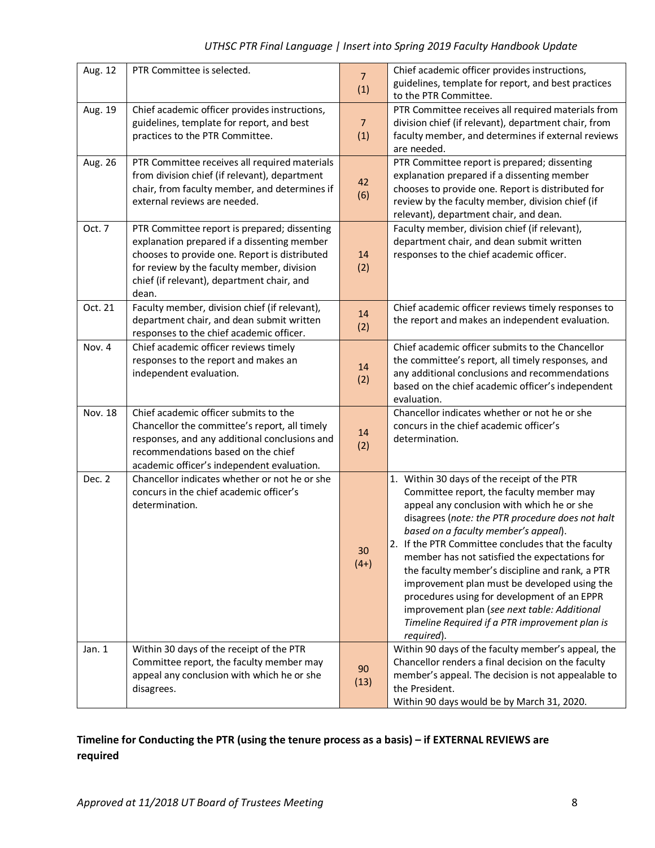| Aug. 12 | PTR Committee is selected.                                                                                                                                                                                                                        | $\overline{7}$<br>(1) | Chief academic officer provides instructions,<br>guidelines, template for report, and best practices<br>to the PTR Committee.                                                                                                                                                                                                                                                                                                                                                                                                                                                                              |
|---------|---------------------------------------------------------------------------------------------------------------------------------------------------------------------------------------------------------------------------------------------------|-----------------------|------------------------------------------------------------------------------------------------------------------------------------------------------------------------------------------------------------------------------------------------------------------------------------------------------------------------------------------------------------------------------------------------------------------------------------------------------------------------------------------------------------------------------------------------------------------------------------------------------------|
| Aug. 19 | Chief academic officer provides instructions,<br>guidelines, template for report, and best<br>practices to the PTR Committee.                                                                                                                     | $\overline{7}$<br>(1) | PTR Committee receives all required materials from<br>division chief (if relevant), department chair, from<br>faculty member, and determines if external reviews<br>are needed.                                                                                                                                                                                                                                                                                                                                                                                                                            |
| Aug. 26 | PTR Committee receives all required materials<br>from division chief (if relevant), department<br>chair, from faculty member, and determines if<br>external reviews are needed.                                                                   | 42<br>(6)             | PTR Committee report is prepared; dissenting<br>explanation prepared if a dissenting member<br>chooses to provide one. Report is distributed for<br>review by the faculty member, division chief (if<br>relevant), department chair, and dean.                                                                                                                                                                                                                                                                                                                                                             |
| Oct. 7  | PTR Committee report is prepared; dissenting<br>explanation prepared if a dissenting member<br>chooses to provide one. Report is distributed<br>for review by the faculty member, division<br>chief (if relevant), department chair, and<br>dean. | 14<br>(2)             | Faculty member, division chief (if relevant),<br>department chair, and dean submit written<br>responses to the chief academic officer.                                                                                                                                                                                                                                                                                                                                                                                                                                                                     |
| Oct. 21 | Faculty member, division chief (if relevant),<br>department chair, and dean submit written<br>responses to the chief academic officer.                                                                                                            | 14<br>(2)             | Chief academic officer reviews timely responses to<br>the report and makes an independent evaluation.                                                                                                                                                                                                                                                                                                                                                                                                                                                                                                      |
| Nov. 4  | Chief academic officer reviews timely<br>responses to the report and makes an<br>independent evaluation.                                                                                                                                          | 14<br>(2)             | Chief academic officer submits to the Chancellor<br>the committee's report, all timely responses, and<br>any additional conclusions and recommendations<br>based on the chief academic officer's independent<br>evaluation.                                                                                                                                                                                                                                                                                                                                                                                |
| Nov. 18 | Chief academic officer submits to the<br>Chancellor the committee's report, all timely<br>responses, and any additional conclusions and<br>recommendations based on the chief<br>academic officer's independent evaluation.                       | 14<br>(2)             | Chancellor indicates whether or not he or she<br>concurs in the chief academic officer's<br>determination.                                                                                                                                                                                                                                                                                                                                                                                                                                                                                                 |
| Dec. 2  | Chancellor indicates whether or not he or she<br>concurs in the chief academic officer's<br>determination.                                                                                                                                        | 30<br>$(4+)$          | 1. Within 30 days of the receipt of the PTR<br>Committee report, the faculty member may<br>appeal any conclusion with which he or she<br>disagrees (note: the PTR procedure does not halt<br>based on a faculty member's appeal).<br>2. If the PTR Committee concludes that the faculty<br>member has not satisfied the expectations for<br>the faculty member's discipline and rank, a PTR<br>improvement plan must be developed using the<br>procedures using for development of an EPPR<br>improvement plan (see next table: Additional<br>Timeline Required if a PTR improvement plan is<br>required). |
| Jan. 1  | Within 30 days of the receipt of the PTR<br>Committee report, the faculty member may<br>appeal any conclusion with which he or she<br>disagrees.                                                                                                  | 90<br>(13)            | Within 90 days of the faculty member's appeal, the<br>Chancellor renders a final decision on the faculty<br>member's appeal. The decision is not appealable to<br>the President.<br>Within 90 days would be by March 31, 2020.                                                                                                                                                                                                                                                                                                                                                                             |

# *UTHSC PTR Final Language | Insert into Spring 2019 Faculty Handbook Update*

## **Timeline for Conducting the PTR (using the tenure process as a basis) – if EXTERNAL REVIEWS are required**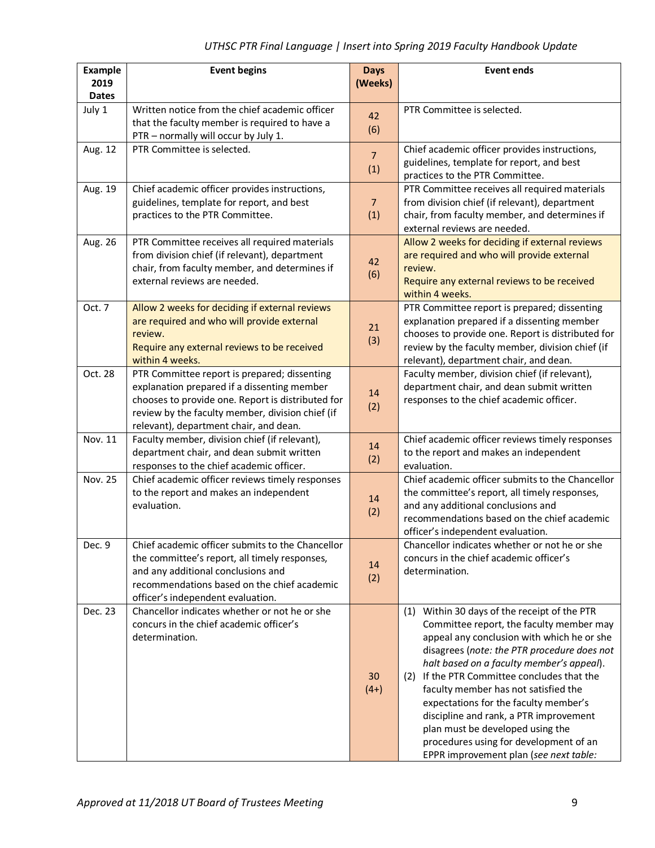| <b>Example</b><br>2019 | <b>Event begins</b>                                                                                                                                                                                                                            | <b>Days</b><br>(Weeks) | <b>Event ends</b>                                                                                                                                                                                                                                                                                                                                                                                                                                                                                                                    |
|------------------------|------------------------------------------------------------------------------------------------------------------------------------------------------------------------------------------------------------------------------------------------|------------------------|--------------------------------------------------------------------------------------------------------------------------------------------------------------------------------------------------------------------------------------------------------------------------------------------------------------------------------------------------------------------------------------------------------------------------------------------------------------------------------------------------------------------------------------|
| <b>Dates</b>           |                                                                                                                                                                                                                                                |                        |                                                                                                                                                                                                                                                                                                                                                                                                                                                                                                                                      |
| July 1                 | Written notice from the chief academic officer<br>that the faculty member is required to have a<br>PTR - normally will occur by July 1.                                                                                                        | 42<br>(6)              | PTR Committee is selected.                                                                                                                                                                                                                                                                                                                                                                                                                                                                                                           |
| Aug. 12                | PTR Committee is selected.                                                                                                                                                                                                                     | $\overline{7}$<br>(1)  | Chief academic officer provides instructions,<br>guidelines, template for report, and best<br>practices to the PTR Committee.                                                                                                                                                                                                                                                                                                                                                                                                        |
| Aug. 19                | Chief academic officer provides instructions,<br>guidelines, template for report, and best<br>practices to the PTR Committee.                                                                                                                  | $\overline{7}$<br>(1)  | PTR Committee receives all required materials<br>from division chief (if relevant), department<br>chair, from faculty member, and determines if<br>external reviews are needed.                                                                                                                                                                                                                                                                                                                                                      |
| Aug. 26                | PTR Committee receives all required materials<br>from division chief (if relevant), department<br>chair, from faculty member, and determines if<br>external reviews are needed.                                                                | 42<br>(6)              | Allow 2 weeks for deciding if external reviews<br>are required and who will provide external<br>review.<br>Require any external reviews to be received<br>within 4 weeks.                                                                                                                                                                                                                                                                                                                                                            |
| Oct. 7                 | Allow 2 weeks for deciding if external reviews<br>are required and who will provide external<br>review.<br>Require any external reviews to be received<br>within 4 weeks.                                                                      | 21<br>(3)              | PTR Committee report is prepared; dissenting<br>explanation prepared if a dissenting member<br>chooses to provide one. Report is distributed for<br>review by the faculty member, division chief (if<br>relevant), department chair, and dean.                                                                                                                                                                                                                                                                                       |
| Oct. 28                | PTR Committee report is prepared; dissenting<br>explanation prepared if a dissenting member<br>chooses to provide one. Report is distributed for<br>review by the faculty member, division chief (if<br>relevant), department chair, and dean. | 14<br>(2)              | Faculty member, division chief (if relevant),<br>department chair, and dean submit written<br>responses to the chief academic officer.                                                                                                                                                                                                                                                                                                                                                                                               |
| Nov. 11                | Faculty member, division chief (if relevant),<br>department chair, and dean submit written<br>responses to the chief academic officer.                                                                                                         | 14<br>(2)              | Chief academic officer reviews timely responses<br>to the report and makes an independent<br>evaluation.                                                                                                                                                                                                                                                                                                                                                                                                                             |
| Nov. 25                | Chief academic officer reviews timely responses<br>to the report and makes an independent<br>evaluation.                                                                                                                                       | 14<br>(2)              | Chief academic officer submits to the Chancellor<br>the committee's report, all timely responses,<br>and any additional conclusions and<br>recommendations based on the chief academic<br>officer's independent evaluation.                                                                                                                                                                                                                                                                                                          |
| Dec. 9                 | Chief academic officer submits to the Chancellor<br>the committee's report, all timely responses,<br>and any additional conclusions and<br>recommendations based on the chief academic<br>officer's independent evaluation.                    | 14<br>(2)              | Chancellor indicates whether or not he or she<br>concurs in the chief academic officer's<br>determination.                                                                                                                                                                                                                                                                                                                                                                                                                           |
| Dec. 23                | Chancellor indicates whether or not he or she<br>concurs in the chief academic officer's<br>determination.                                                                                                                                     | 30<br>$(4+)$           | (1) Within 30 days of the receipt of the PTR<br>Committee report, the faculty member may<br>appeal any conclusion with which he or she<br>disagrees (note: the PTR procedure does not<br>halt based on a faculty member's appeal).<br>(2) If the PTR Committee concludes that the<br>faculty member has not satisfied the<br>expectations for the faculty member's<br>discipline and rank, a PTR improvement<br>plan must be developed using the<br>procedures using for development of an<br>EPPR improvement plan (see next table: |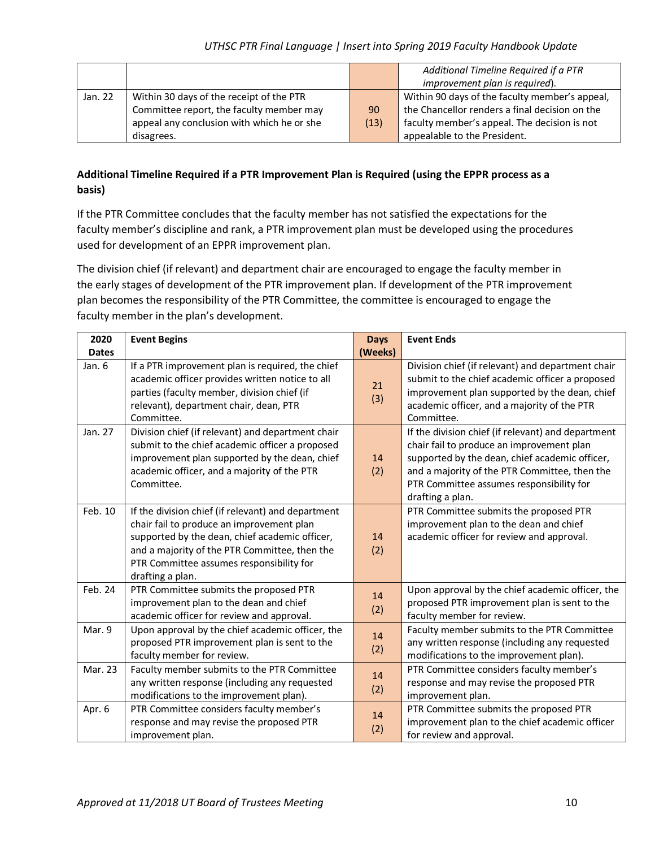|         |                                            |      | Additional Timeline Required if a PTR          |
|---------|--------------------------------------------|------|------------------------------------------------|
|         |                                            |      | improvement plan is required).                 |
| Jan. 22 | Within 30 days of the receipt of the PTR   |      | Within 90 days of the faculty member's appeal, |
|         | Committee report, the faculty member may   | 90   | the Chancellor renders a final decision on the |
|         | appeal any conclusion with which he or she | (13) | faculty member's appeal. The decision is not   |
|         | disagrees.                                 |      | appealable to the President.                   |

## **Additional Timeline Required if a PTR Improvement Plan is Required (using the EPPR process as a basis)**

If the PTR Committee concludes that the faculty member has not satisfied the expectations for the faculty member's discipline and rank, a PTR improvement plan must be developed using the procedures used for development of an EPPR improvement plan.

The division chief (if relevant) and department chair are encouraged to engage the faculty member in the early stages of development of the PTR improvement plan. If development of the PTR improvement plan becomes the responsibility of the PTR Committee, the committee is encouraged to engage the faculty member in the plan's development.

| 2020         | <b>Event Begins</b>                                                                                                                                                                                                                                                | <b>Days</b> | <b>Event Ends</b>                                                                                                                                                                                                                                                  |
|--------------|--------------------------------------------------------------------------------------------------------------------------------------------------------------------------------------------------------------------------------------------------------------------|-------------|--------------------------------------------------------------------------------------------------------------------------------------------------------------------------------------------------------------------------------------------------------------------|
| <b>Dates</b> |                                                                                                                                                                                                                                                                    | (Weeks)     |                                                                                                                                                                                                                                                                    |
| Jan. 6       | If a PTR improvement plan is required, the chief<br>academic officer provides written notice to all<br>parties (faculty member, division chief (if<br>relevant), department chair, dean, PTR<br>Committee.                                                         | 21<br>(3)   | Division chief (if relevant) and department chair<br>submit to the chief academic officer a proposed<br>improvement plan supported by the dean, chief<br>academic officer, and a majority of the PTR<br>Committee.                                                 |
| Jan. 27      | Division chief (if relevant) and department chair<br>submit to the chief academic officer a proposed<br>improvement plan supported by the dean, chief<br>academic officer, and a majority of the PTR<br>Committee.                                                 | 14<br>(2)   | If the division chief (if relevant) and department<br>chair fail to produce an improvement plan<br>supported by the dean, chief academic officer,<br>and a majority of the PTR Committee, then the<br>PTR Committee assumes responsibility for<br>drafting a plan. |
| Feb. 10      | If the division chief (if relevant) and department<br>chair fail to produce an improvement plan<br>supported by the dean, chief academic officer,<br>and a majority of the PTR Committee, then the<br>PTR Committee assumes responsibility for<br>drafting a plan. | 14<br>(2)   | PTR Committee submits the proposed PTR<br>improvement plan to the dean and chief<br>academic officer for review and approval.                                                                                                                                      |
| Feb. 24      | PTR Committee submits the proposed PTR<br>improvement plan to the dean and chief<br>academic officer for review and approval.                                                                                                                                      | 14<br>(2)   | Upon approval by the chief academic officer, the<br>proposed PTR improvement plan is sent to the<br>faculty member for review.                                                                                                                                     |
| Mar. 9       | Upon approval by the chief academic officer, the<br>proposed PTR improvement plan is sent to the<br>faculty member for review.                                                                                                                                     | 14<br>(2)   | Faculty member submits to the PTR Committee<br>any written response (including any requested<br>modifications to the improvement plan).                                                                                                                            |
| Mar. 23      | Faculty member submits to the PTR Committee<br>any written response (including any requested<br>modifications to the improvement plan).                                                                                                                            | 14<br>(2)   | PTR Committee considers faculty member's<br>response and may revise the proposed PTR<br>improvement plan.                                                                                                                                                          |
| Apr. 6       | PTR Committee considers faculty member's<br>response and may revise the proposed PTR<br>improvement plan.                                                                                                                                                          | 14<br>(2)   | PTR Committee submits the proposed PTR<br>improvement plan to the chief academic officer<br>for review and approval.                                                                                                                                               |